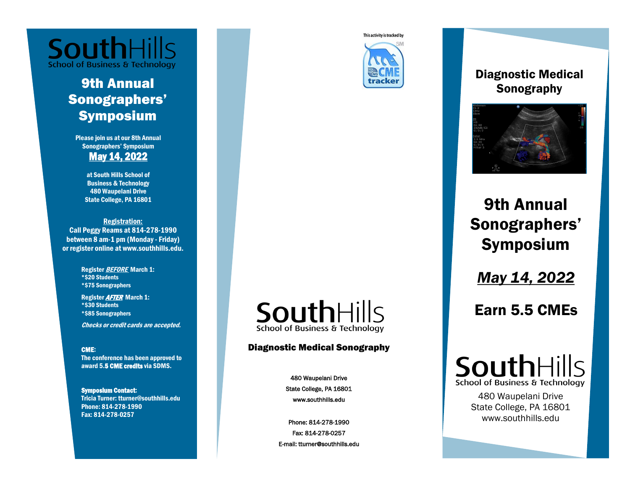

# 9th Annual Sonographers' Symposium

Please join us at our 8th Annual Sonographers' Symposium May 14, 2022

> at South Hills School of Business & Technology 480 Waupelani Drive State College, PA 16801

Registration: Call Peggy Reams at 814-278-1990 between 8 am-1 pm (Monday - Friday) or register online at www.southhills.edu.

> Register **BEFORE** March 1: \*\$20 Students \*\$75 Sonographers

Register AFTER March 1: \*\$30 Students \*\$85 Sonographers

Checks or credit cards are accepted.

#### CME:

The conference has been approved to award 5.5 CME credits via SDMS.

Symposium Contact: Tricia Turner: tturner@southhills.edu Phone: 814-278-1990 Fax: 814-278-0257

# SouthHills **School of Business & Technology**

### Diagnostic Medical Sonography

480 Waupelani Drive State College, PA 16801 www.southhills.edu

Phone: 814-278-1990 Fax: 814-278-0257 E-mail: tturner@southhills.edu

This activity is tracked by



## Diagnostic Medical Sonography



# 9th Annual Sonographers' Symposium

*May 14, 2022*

Earn 5.5 CMEs



480 Waupelani Drive State College, PA 16801 www.southhills.edu